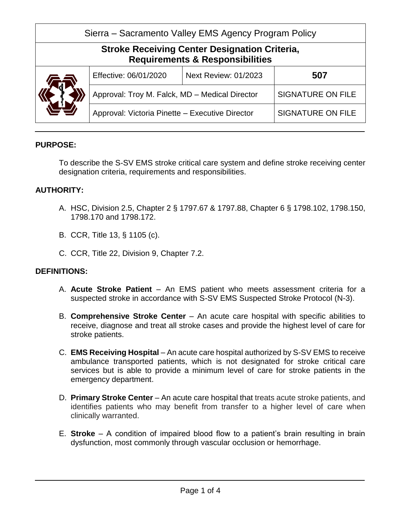| Sierra – Sacramento Valley EMS Agency Program Policy                                               |                                                 |                             |                          |
|----------------------------------------------------------------------------------------------------|-------------------------------------------------|-----------------------------|--------------------------|
| <b>Stroke Receiving Center Designation Criteria,</b><br><b>Requirements &amp; Responsibilities</b> |                                                 |                             |                          |
|                                                                                                    | Effective: 06/01/2020                           | <b>Next Review: 01/2023</b> | 507                      |
|                                                                                                    | Approval: Troy M. Falck, MD - Medical Director  |                             | <b>SIGNATURE ON FILE</b> |
|                                                                                                    | Approval: Victoria Pinette - Executive Director |                             | <b>SIGNATURE ON FILE</b> |

# **PURPOSE:**

To describe the S-SV EMS stroke critical care system and define stroke receiving center designation criteria, requirements and responsibilities.

# **AUTHORITY:**

- A. HSC, Division 2.5, Chapter 2 § 1797.67 & 1797.88, Chapter 6 § 1798.102, 1798.150, 1798.170 and 1798.172.
- B. CCR, Title 13, § 1105 (c).
- C. CCR, Title 22, Division 9, Chapter 7.2.

# **DEFINITIONS:**

- A. **Acute Stroke Patient** An EMS patient who meets assessment criteria for a suspected stroke in accordance with S-SV EMS Suspected Stroke Protocol (N-3).
- B. **Comprehensive Stroke Center** An acute care hospital with specific abilities to receive, diagnose and treat all stroke cases and provide the highest level of care for stroke patients.
- C. **EMS Receiving Hospital** An acute care hospital authorized by S-SV EMS to receive ambulance transported patients, which is not designated for stroke critical care services but is able to provide a minimum level of care for stroke patients in the emergency department.
- D. **Primary Stroke Center** An acute care hospital that treats acute stroke patients, and identifies patients who may benefit from transfer to a higher level of care when clinically warranted.
- E. **Stroke** A condition of impaired blood flow to a patient's brain resulting in brain dysfunction, most commonly through vascular occlusion or hemorrhage.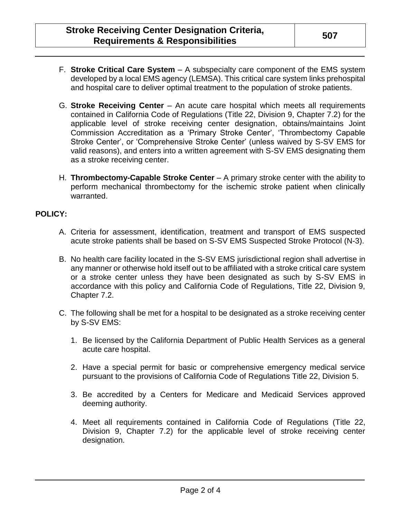- F. **Stroke Critical Care System** A subspecialty care component of the EMS system developed by a local EMS agency (LEMSA). This critical care system links prehospital and hospital care to deliver optimal treatment to the population of stroke patients.
- G. **Stroke Receiving Center** An acute care hospital which meets all requirements contained in California Code of Regulations (Title 22, Division 9, Chapter 7.2) for the applicable level of stroke receiving center designation, obtains/maintains Joint Commission Accreditation as a 'Primary Stroke Center', 'Thrombectomy Capable Stroke Center', or 'Comprehensive Stroke Center' (unless waived by S-SV EMS for valid reasons), and enters into a written agreement with S-SV EMS designating them as a stroke receiving center.
- H. **Thrombectomy-Capable Stroke Center** A primary stroke center with the ability to perform mechanical thrombectomy for the ischemic stroke patient when clinically warranted.

# **POLICY:**

- A. Criteria for assessment, identification, treatment and transport of EMS suspected acute stroke patients shall be based on S-SV EMS Suspected Stroke Protocol (N-3).
- B. No health care facility located in the S-SV EMS jurisdictional region shall advertise in any manner or otherwise hold itself out to be affiliated with a stroke critical care system or a stroke center unless they have been designated as such by S-SV EMS in accordance with this policy and California Code of Regulations, Title 22, Division 9, Chapter 7.2.
- C. The following shall be met for a hospital to be designated as a stroke receiving center by S-SV EMS:
	- 1. Be licensed by the California Department of Public Health Services as a general acute care hospital.
	- 2. Have a special permit for basic or comprehensive emergency medical service pursuant to the provisions of California Code of Regulations Title 22, Division 5.
	- 3. Be accredited by a Centers for Medicare and Medicaid Services approved deeming authority.
	- 4. Meet all requirements contained in California Code of Regulations (Title 22, Division 9, Chapter 7.2) for the applicable level of stroke receiving center designation.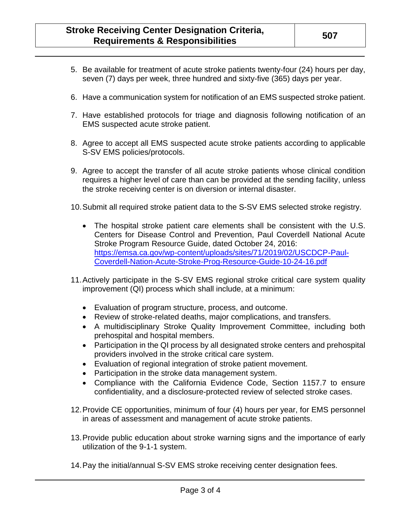- 5. Be available for treatment of acute stroke patients twenty-four (24) hours per day, seven (7) days per week, three hundred and sixty-five (365) days per year.
- 6. Have a communication system for notification of an EMS suspected stroke patient.
- 7. Have established protocols for triage and diagnosis following notification of an EMS suspected acute stroke patient.
- 8. Agree to accept all EMS suspected acute stroke patients according to applicable S-SV EMS policies/protocols.
- 9. Agree to accept the transfer of all acute stroke patients whose clinical condition requires a higher level of care than can be provided at the sending facility, unless the stroke receiving center is on diversion or internal disaster.
- 10.Submit all required stroke patient data to the S-SV EMS selected stroke registry.
	- The hospital stroke patient care elements shall be consistent with the U.S. Centers for Disease Control and Prevention, Paul Coverdell National Acute Stroke Program Resource Guide, dated October 24, 2016: [https://emsa.ca.gov/wp-content/uploads/sites/71/2019/02/USCDCP-Paul-](https://emsa.ca.gov/wp-content/uploads/sites/71/2019/02/USCDCP-Paul-Coverdell-Nation-Acute-Stroke-Prog-Resource-Guide-10-24-16.pdf)[Coverdell-Nation-Acute-Stroke-Prog-Resource-Guide-10-24-16.pdf](https://emsa.ca.gov/wp-content/uploads/sites/71/2019/02/USCDCP-Paul-Coverdell-Nation-Acute-Stroke-Prog-Resource-Guide-10-24-16.pdf)
- 11.Actively participate in the S-SV EMS regional stroke critical care system quality improvement (QI) process which shall include, at a minimum:
	- Evaluation of program structure, process, and outcome.
	- Review of stroke-related deaths, major complications, and transfers.
	- A multidisciplinary Stroke Quality Improvement Committee, including both prehospital and hospital members.
	- Participation in the QI process by all designated stroke centers and prehospital providers involved in the stroke critical care system.
	- Evaluation of regional integration of stroke patient movement.
	- Participation in the stroke data management system.
	- Compliance with the California Evidence Code, Section 1157.7 to ensure confidentiality, and a disclosure-protected review of selected stroke cases.
- 12.Provide CE opportunities, minimum of four (4) hours per year, for EMS personnel in areas of assessment and management of acute stroke patients.
- 13.Provide public education about stroke warning signs and the importance of early utilization of the 9-1-1 system.
- 14.Pay the initial/annual S-SV EMS stroke receiving center designation fees.